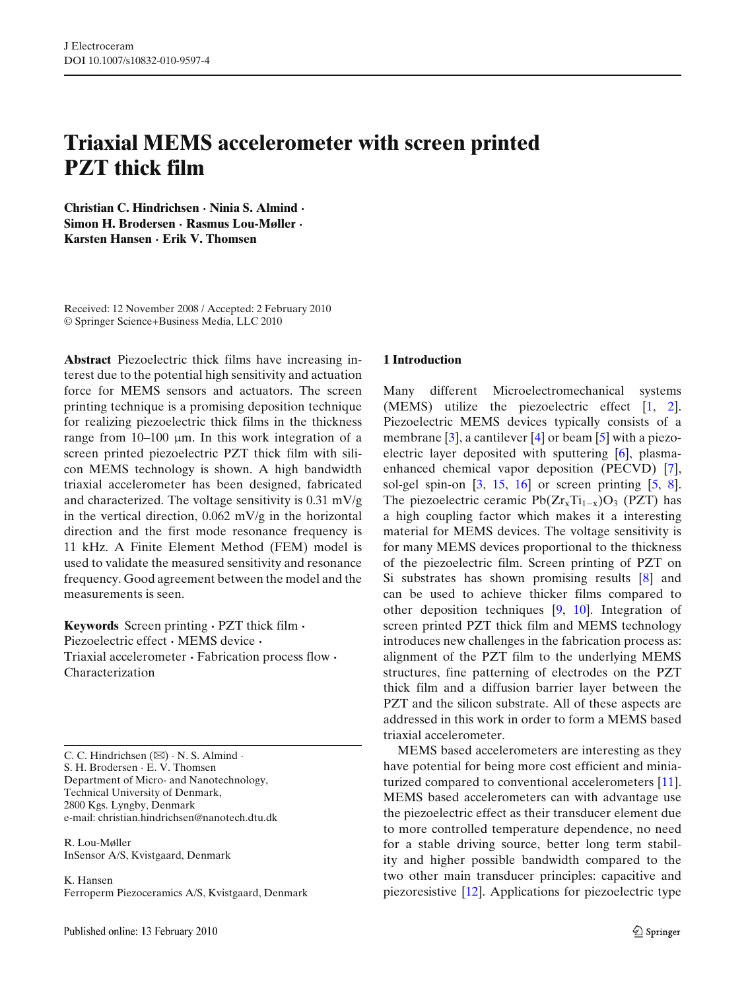# **Triaxial MEMS accelerometer with screen printed PZT thick film**

**Christian C. Hindrichsen · Ninia S. Almind · Simon H. Brodersen · Rasmus Lou-Møller · Karsten Hansen · Erik V. Thomsen**

Received: 12 November 2008 / Accepted: 2 February 2010 © Springer Science+Business Media, LLC 2010

**Abstract** Piezoelectric thick films have increasing interest due to the potential high sensitivity and actuation force for MEMS sensors and actuators. The screen printing technique is a promising deposition technique for realizing piezoelectric thick films in the thickness range from 10–100 μm. In this work integration of a screen printed piezoelectric PZT thick film with silicon MEMS technology is shown. A high bandwidth triaxial accelerometer has been designed, fabricated and characterized. The voltage sensitivity is 0.31 mV/g in the vertical direction,  $0.062$  mV/g in the horizontal direction and the first mode resonance frequency is 11 kHz. A Finite Element Method (FEM) model is used to validate the measured sensitivity and resonance frequency. Good agreement between the model and the measurements is seen.

**Keywords** Screen printing **·** PZT thick film **·** Piezoelectric effect **·** MEMS device **·** Triaxial accelerometer **·** Fabrication process flow **·** Characterization

C. C. Hindrichsen  $(\boxtimes) \cdot N$ . S. Almind  $\cdot$ S. H. Brodersen · E. V. Thomsen Department of Micro- and Nanotechnology, Technical University of Denmark, 2800 Kgs. Lyngby, Denmark e-mail: christian.hindrichsen@nanotech.dtu.dk

R. Lou-Møller InSensor A/S, Kvistgaard, Denmark

K. Hansen Ferroperm Piezoceramics A/S, Kvistgaard, Denmark

## **1 Introduction**

Many different Microelectromechanical systems (MEMS) utilize the piezoelectric effect [\[1](#page-7-0), [2](#page-7-0)]. Piezoelectric MEMS devices typically consists of a membrane  $[3]$  $[3]$ , a cantilever  $[4]$  $[4]$  or beam  $[5]$  with a piezoelectric layer deposited with sputtering [\[6](#page-7-0)], plasmaenhanced chemical vapor deposition (PECVD) [\[7](#page-7-0)], sol-gel spin-on  $\begin{bmatrix} 3, 15, 16 \end{bmatrix}$  $\begin{bmatrix} 3, 15, 16 \end{bmatrix}$  $\begin{bmatrix} 3, 15, 16 \end{bmatrix}$  $\begin{bmatrix} 3, 15, 16 \end{bmatrix}$  $\begin{bmatrix} 3, 15, 16 \end{bmatrix}$  or screen printing  $\begin{bmatrix} 5, 8 \end{bmatrix}$  $\begin{bmatrix} 5, 8 \end{bmatrix}$  $\begin{bmatrix} 5, 8 \end{bmatrix}$ . The piezoelectric ceramic  $Pb(Zr_xTi_{1-x})O_3$  (PZT) has a high coupling factor which makes it a interesting material for MEMS devices. The voltage sensitivity is for many MEMS devices proportional to the thickness of the piezoelectric film. Screen printing of PZT on Si substrates has shown promising results [\[8](#page-7-0)] and can be used to achieve thicker films compared to other deposition techniques [\[9](#page-7-0), [10\]](#page-7-0). Integration of screen printed PZT thick film and MEMS technology introduces new challenges in the fabrication process as: alignment of the PZT film to the underlying MEMS structures, fine patterning of electrodes on the PZT thick film and a diffusion barrier layer between the PZT and the silicon substrate. All of these aspects are addressed in this work in order to form a MEMS based triaxial accelerometer.

MEMS based accelerometers are interesting as they have potential for being more cost efficient and miniaturized compared to conventional accelerometers [\[11](#page-7-0)]. MEMS based accelerometers can with advantage use the piezoelectric effect as their transducer element due to more controlled temperature dependence, no need for a stable driving source, better long term stability and higher possible bandwidth compared to the two other main transducer principles: capacitive and piezoresistive [\[12\]](#page-7-0). Applications for piezoelectric type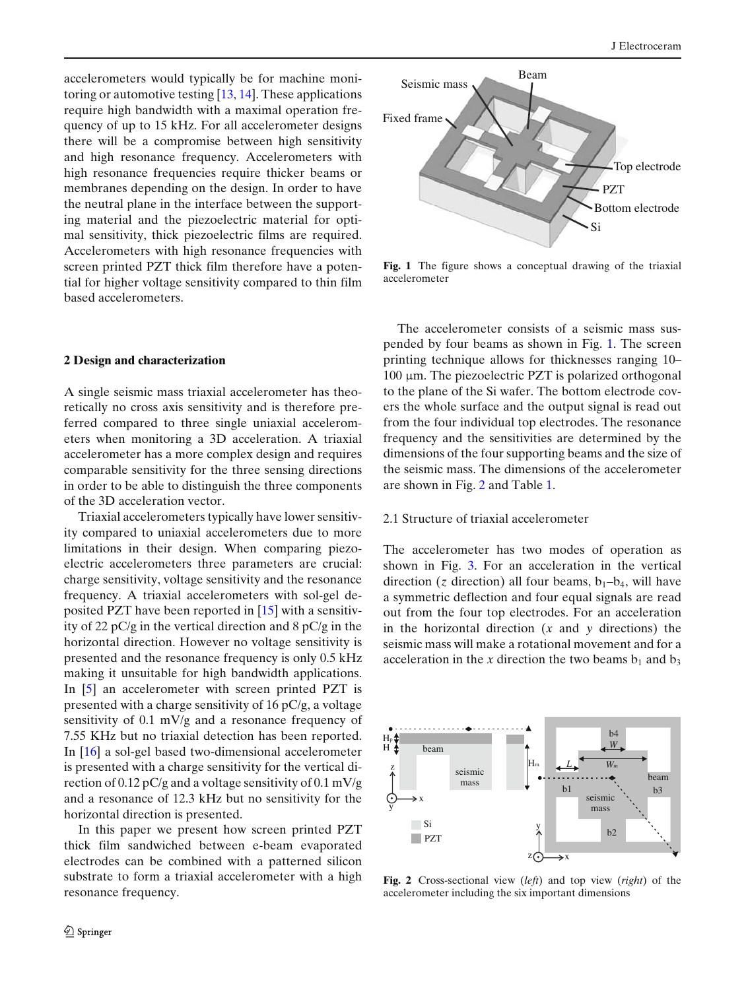<span id="page-1-0"></span>accelerometers would typically be for machine monitoring or automotive testing [\[13](#page-7-0), [14\]](#page-7-0). These applications require high bandwidth with a maximal operation frequency of up to 15 kHz. For all accelerometer designs there will be a compromise between high sensitivity and high resonance frequency. Accelerometers with high resonance frequencies require thicker beams or membranes depending on the design. In order to have the neutral plane in the interface between the supporting material and the piezoelectric material for optimal sensitivity, thick piezoelectric films are required. Accelerometers with high resonance frequencies with screen printed PZT thick film therefore have a potential for higher voltage sensitivity compared to thin film based accelerometers.

#### **2 Design and characterization**

A single seismic mass triaxial accelerometer has theoretically no cross axis sensitivity and is therefore preferred compared to three single uniaxial accelerometers when monitoring a 3D acceleration. A triaxial accelerometer has a more complex design and requires comparable sensitivity for the three sensing directions in order to be able to distinguish the three components of the 3D acceleration vector.

Triaxial accelerometers typically have lower sensitivity compared to uniaxial accelerometers due to more limitations in their design. When comparing piezoelectric accelerometers three parameters are crucial: charge sensitivity, voltage sensitivity and the resonance frequency. A triaxial accelerometers with sol-gel deposited PZT have been reported in [\[15\]](#page-7-0) with a sensitivity of 22 pC/g in the vertical direction and 8 pC/g in the horizontal direction. However no voltage sensitivity is presented and the resonance frequency is only 0.5 kHz making it unsuitable for high bandwidth applications. In [\[5\]](#page-7-0) an accelerometer with screen printed PZT is presented with a charge sensitivity of 16 pC/g, a voltage sensitivity of 0.1 mV/g and a resonance frequency of 7.55 KHz but no triaxial detection has been reported. In [\[16](#page-7-0)] a sol-gel based two-dimensional accelerometer is presented with a charge sensitivity for the vertical direction of  $0.12$  pC/g and a voltage sensitivity of  $0.1$  mV/g and a resonance of 12.3 kHz but no sensitivity for the horizontal direction is presented.

In this paper we present how screen printed PZT thick film sandwiched between e-beam evaporated electrodes can be combined with a patterned silicon substrate to form a triaxial accelerometer with a high resonance frequency.



**Fig. 1** The figure shows a conceptual drawing of the triaxial accelerometer

The accelerometer consists of a seismic mass suspended by four beams as shown in Fig. 1. The screen printing technique allows for thicknesses ranging 10– 100 μm. The piezoelectric PZT is polarized orthogonal to the plane of the Si wafer. The bottom electrode covers the whole surface and the output signal is read out from the four individual top electrodes. The resonance frequency and the sensitivities are determined by the dimensions of the four supporting beams and the size of the seismic mass. The dimensions of the accelerometer are shown in Fig. 2 and Table [1.](#page-2-0)

# 2.1 Structure of triaxial accelerometer

The accelerometer has two modes of operation as shown in Fig. [3.](#page-2-0) For an acceleration in the vertical direction (*z* direction) all four beams,  $b_1-b_4$ , will have a symmetric deflection and four equal signals are read out from the four top electrodes. For an acceleration in the horizontal direction (*x* and *y* directions) the seismic mass will make a rotational movement and for a acceleration in the *x* direction the two beams  $b_1$  and  $b_3$ 



**Fig. 2** Cross-sectional view (*left*) and top view (*right*) of the accelerometer including the six important dimensions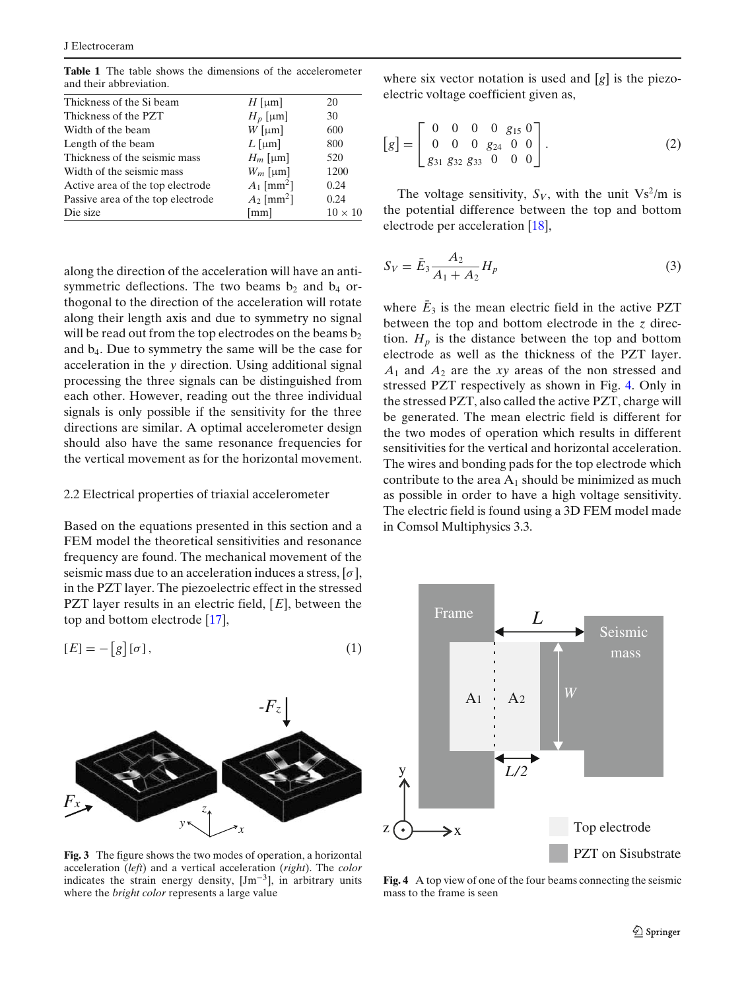<span id="page-2-0"></span>**Table 1** The table shows the dimensions of the accelerometer and their abbreviation.

| Thickness of the Si beam          | H [µm]                   | 20             |
|-----------------------------------|--------------------------|----------------|
| Thickness of the PZT              | $H_p$ [µm]               | 30             |
| Width of the beam                 | $W$ [µm]                 | 600            |
| Length of the beam                | $L$ [µm]                 | 800            |
| Thickness of the seismic mass     | $H_m$ [µm]               | 520            |
| Width of the seismic mass         | $W_m$ [µm]               | 1200           |
| Active area of the top electrode  | $A_1$ [mm <sup>2</sup> ] | 0.24           |
| Passive area of the top electrode | $A_2$ [mm <sup>2</sup> ] | 0.24           |
| Die size                          | [mm]                     | $10 \times 10$ |

along the direction of the acceleration will have an antisymmetric deflections. The two beams  $b_2$  and  $b_4$  orthogonal to the direction of the acceleration will rotate along their length axis and due to symmetry no signal will be read out from the top electrodes on the beams  $b_2$ and b4. Due to symmetry the same will be the case for acceleration in the *y* direction. Using additional signal processing the three signals can be distinguished from each other. However, reading out the three individual signals is only possible if the sensitivity for the three directions are similar. A optimal accelerometer design should also have the same resonance frequencies for the vertical movement as for the horizontal movement.

#### 2.2 Electrical properties of triaxial accelerometer

Based on the equations presented in this section and a FEM model the theoretical sensitivities and resonance frequency are found. The mechanical movement of the seismic mass due to an acceleration induces a stress,  $[\sigma]$ , in the PZT layer. The piezoelectric effect in the stressed PZT layer results in an electric field, [*E*], between the top and bottom electrode [\[17](#page-7-0)],

$$
[E] = -[g][\sigma],\tag{1}
$$



**Fig. 3** The figure shows the two modes of operation, a horizontal acceleration (*left*) and a vertical acceleration (*right*). The *color* indicates the strain energy density,  $\text{[Jm}^{-3}]$ , in arbitrary units where the *bright color* represents a large value

where six vector notation is used and [*g*] is the piezoelectric voltage coefficient given as,

$$
[g] = \begin{bmatrix} 0 & 0 & 0 & 0 & g_{15} & 0 \\ 0 & 0 & 0 & g_{24} & 0 & 0 \\ g_{31} & g_{32} & g_{33} & 0 & 0 & 0 \end{bmatrix}.
$$
 (2)

The voltage sensitivity,  $S_V$ , with the unit  $Vs^2/m$  is the potential difference between the top and bottom electrode per acceleration [\[18\]](#page-7-0),

$$
S_V = \bar{E}_3 \frac{A_2}{A_1 + A_2} H_p \tag{3}
$$

where  $\bar{E}_3$  is the mean electric field in the active PZT between the top and bottom electrode in the *z* direction.  $H_p$  is the distance between the top and bottom electrode as well as the thickness of the PZT layer. *A*<sup>1</sup> and *A*<sup>2</sup> are the *xy* areas of the non stressed and stressed PZT respectively as shown in Fig. 4. Only in the stressed PZT, also called the active PZT, charge will be generated. The mean electric field is different for the two modes of operation which results in different sensitivities for the vertical and horizontal acceleration. The wires and bonding pads for the top electrode which contribute to the area  $A_1$  should be minimized as much as possible in order to have a high voltage sensitivity. The electric field is found using a 3D FEM model made in Comsol Multiphysics 3.3.



**Fig. 4** A top view of one of the four beams connecting the seismic mass to the frame is seen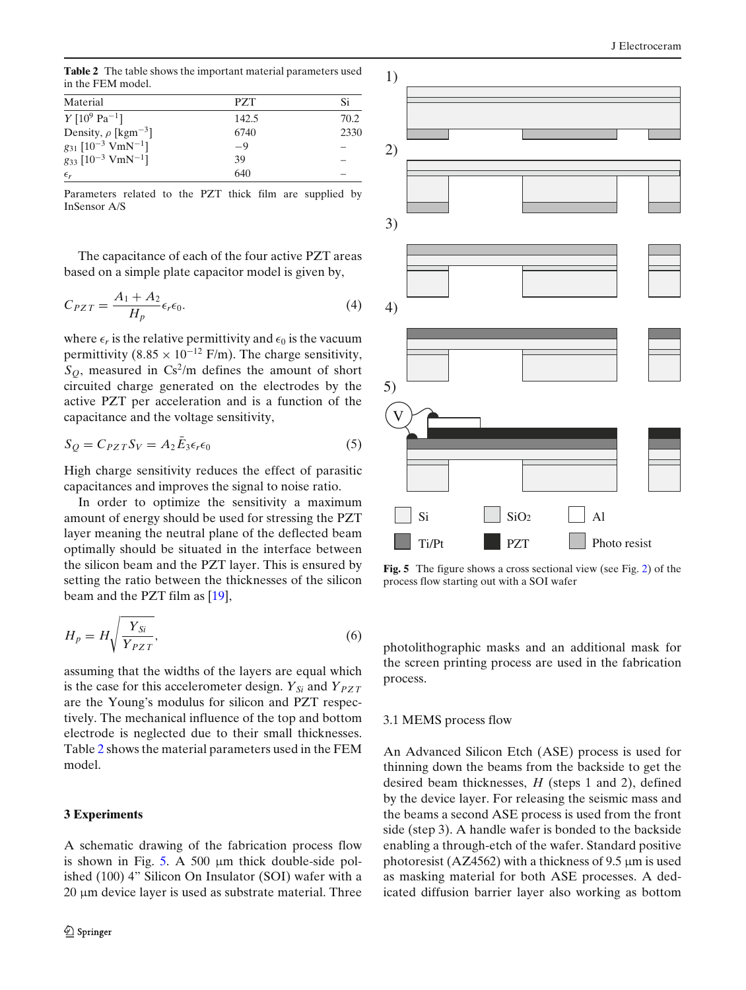<span id="page-3-0"></span>**Table 2** The table shows the important material parameters used in the FEM model.

| Material                                       | PZT   | Si   |
|------------------------------------------------|-------|------|
| $Y[10^9 \text{ Pa}^{-1}]$                      | 142.5 | 70.2 |
| Density, $\rho$ [kgm <sup>-3</sup> ]           | 6740  | 2330 |
| $g_{31}$ [10 <sup>-3</sup> VmN <sup>-1</sup> ] | $-9$  |      |
| $g_{33}$ [10 <sup>-3</sup> VmN <sup>-1</sup> ] | 39    |      |
| $\epsilon_r$                                   | 640   |      |

Parameters related to the PZT thick film are supplied by InSensor A/S

The capacitance of each of the four active PZT areas based on a simple plate capacitor model is given by,

$$
C_{PZT} = \frac{A_1 + A_2}{H_p} \epsilon_r \epsilon_0.
$$
 (4)

where  $\epsilon_r$  is the relative permittivity and  $\epsilon_0$  is the vacuum permittivity (8.85 ×  $10^{-12}$  F/m). The charge sensitivity,  $S_Q$ , measured in Cs<sup>2</sup>/m defines the amount of short circuited charge generated on the electrodes by the active PZT per acceleration and is a function of the capacitance and the voltage sensitivity,

$$
S_Q = C_{PZT} S_V = A_2 \bar{E}_3 \epsilon_r \epsilon_0 \tag{5}
$$

High charge sensitivity reduces the effect of parasitic capacitances and improves the signal to noise ratio.

In order to optimize the sensitivity a maximum amount of energy should be used for stressing the PZT layer meaning the neutral plane of the deflected beam optimally should be situated in the interface between the silicon beam and the PZT layer. This is ensured by setting the ratio between the thicknesses of the silicon beam and the PZT film as [\[19](#page-7-0)],

$$
H_p = H \sqrt{\frac{Y_{Si}}{Y_{PZT}}},\tag{6}
$$

assuming that the widths of the layers are equal which is the case for this accelerometer design.  $Y_{Si}$  and  $Y_{PZT}$ are the Young's modulus for silicon and PZT respectively. The mechanical influence of the top and bottom electrode is neglected due to their small thicknesses. Table 2 shows the material parameters used in the FEM model.

## **3 Experiments**

A schematic drawing of the fabrication process flow is shown in Fig.  $5. A 500 \mu m$  thick double-side polished (100) 4" Silicon On Insulator (SOI) wafer with a 20 μm device layer is used as substrate material. Three



**Fig. 5** The figure shows a cross sectional view (see Fig. [2\)](#page-1-0) of the process flow starting out with a SOI wafer

photolithographic masks and an additional mask for the screen printing process are used in the fabrication process.

## 3.1 MEMS process flow

An Advanced Silicon Etch (ASE) process is used for thinning down the beams from the backside to get the desired beam thicknesses, *H* (steps 1 and 2), defined by the device layer. For releasing the seismic mass and the beams a second ASE process is used from the front side (step 3). A handle wafer is bonded to the backside enabling a through-etch of the wafer. Standard positive photoresist (AZ4562) with a thickness of 9.5  $\mu$ m is used as masking material for both ASE processes. A dedicated diffusion barrier layer also working as bottom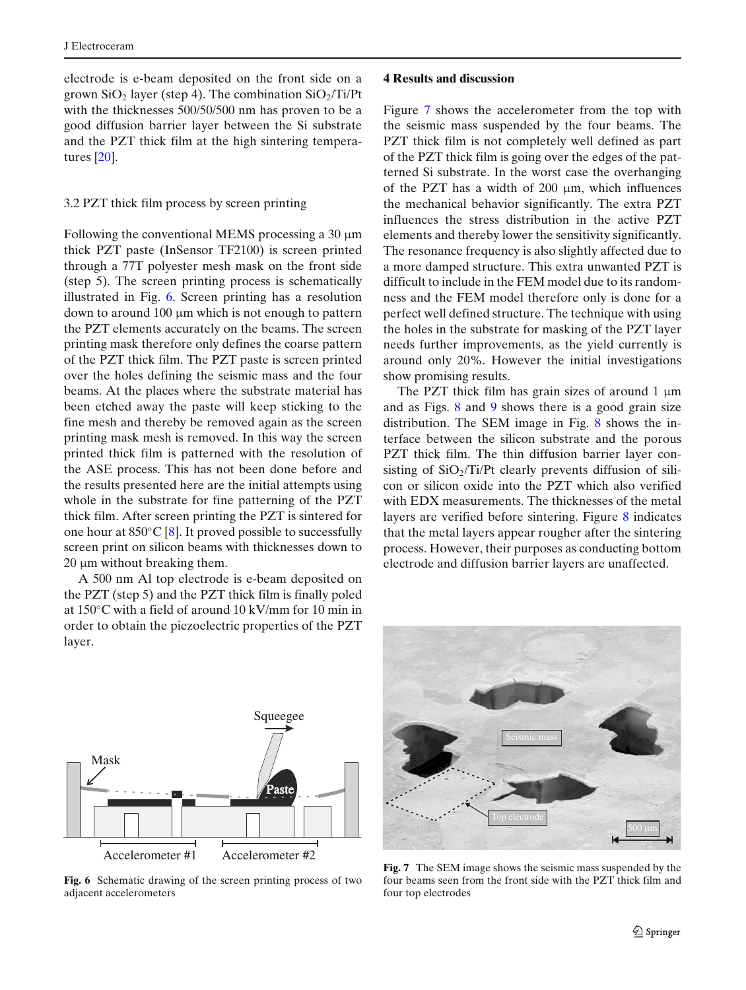<span id="page-4-0"></span>electrode is e-beam deposited on the front side on a grown  $SiO<sub>2</sub>$  layer (step 4). The combination  $SiO<sub>2</sub>/Ti/Pt$ with the thicknesses 500/50/500 nm has proven to be a good diffusion barrier layer between the Si substrate and the PZT thick film at the high sintering temperatures [\[20\]](#page-7-0).

## 3.2 PZT thick film process by screen printing

Following the conventional MEMS processing a 30  $\mu$ m thick PZT paste (InSensor TF2100) is screen printed through a 77T polyester mesh mask on the front side (step 5). The screen printing process is schematically illustrated in Fig. 6. Screen printing has a resolution down to around 100 μm which is not enough to pattern the PZT elements accurately on the beams. The screen printing mask therefore only defines the coarse pattern of the PZT thick film. The PZT paste is screen printed over the holes defining the seismic mass and the four beams. At the places where the substrate material has been etched away the paste will keep sticking to the fine mesh and thereby be removed again as the screen printing mask mesh is removed. In this way the screen printed thick film is patterned with the resolution of the ASE process. This has not been done before and the results presented here are the initial attempts using whole in the substrate for fine patterning of the PZT thick film. After screen printing the PZT is sintered for one hour at  $850^{\circ}$ C [\[8\]](#page-7-0). It proved possible to successfully screen print on silicon beams with thicknesses down to 20 μm without breaking them.

A 500 nm Al top electrode is e-beam deposited on the PZT (step 5) and the PZT thick film is finally poled at 150◦C with a field of around 10 kV/mm for 10 min in order to obtain the piezoelectric properties of the PZT layer.

#### **4 Results and discussion**

Figure 7 shows the accelerometer from the top with the seismic mass suspended by the four beams. The PZT thick film is not completely well defined as part of the PZT thick film is going over the edges of the patterned Si substrate. In the worst case the overhanging of the PZT has a width of 200 μm, which influences the mechanical behavior significantly. The extra PZT influences the stress distribution in the active PZT elements and thereby lower the sensitivity significantly. The resonance frequency is also slightly affected due to a more damped structure. This extra unwanted PZT is difficult to include in the FEM model due to its randomness and the FEM model therefore only is done for a perfect well defined structure. The technique with using the holes in the substrate for masking of the PZT layer needs further improvements, as the yield currently is around only 20%. However the initial investigations show promising results.

The PZT thick film has grain sizes of around 1  $\mu$ m and as Figs. [8](#page-5-0) and [9](#page-5-0) shows there is a good grain size distribution. The SEM image in Fig. [8](#page-5-0) shows the interface between the silicon substrate and the porous PZT thick film. The thin diffusion barrier layer consisting of  $SiO<sub>2</sub>/Ti/Pt$  clearly prevents diffusion of silicon or silicon oxide into the PZT which also verified with EDX measurements. The thicknesses of the metal layers are verified before sintering. Figure [8](#page-5-0) indicates that the metal layers appear rougher after the sintering process. However, their purposes as conducting bottom electrode and diffusion barrier layers are unaffected.



**Fig. 6** Schematic drawing of the screen printing process of two adjacent accelerometers



**Fig. 7** The SEM image shows the seismic mass suspended by the four beams seen from the front side with the PZT thick film and four top electrodes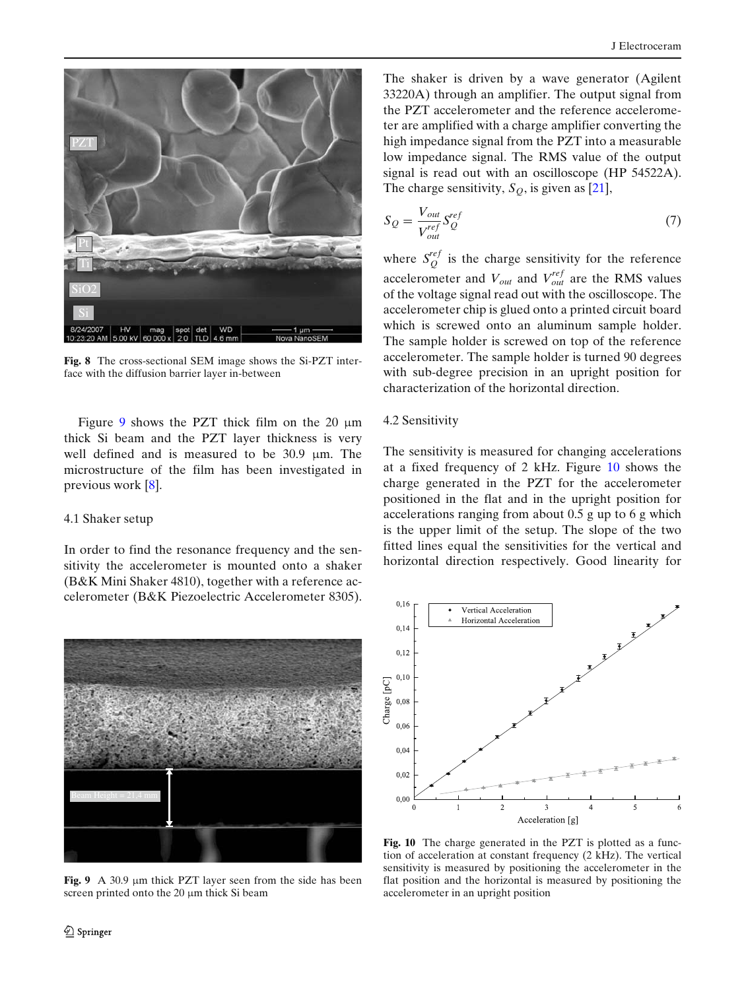<span id="page-5-0"></span>

**Fig. 8** The cross-sectional SEM image shows the Si-PZT interface with the diffusion barrier layer in-between

Figure 9 shows the PZT thick film on the 20  $\mu$ m thick Si beam and the PZT layer thickness is very well defined and is measured to be 30.9 μm. The microstructure of the film has been investigated in previous work [\[8\]](#page-7-0).

## 4.1 Shaker setup

In order to find the resonance frequency and the sensitivity the accelerometer is mounted onto a shaker (B&K Mini Shaker 4810), together with a reference accelerometer (B&K Piezoelectric Accelerometer 8305).



**Fig. 9** A 30.9 μm thick PZT layer seen from the side has been screen printed onto the 20 μm thick Si beam

The shaker is driven by a wave generator (Agilent 33220A) through an amplifier. The output signal from the PZT accelerometer and the reference accelerometer are amplified with a charge amplifier converting the high impedance signal from the PZT into a measurable low impedance signal. The RMS value of the output signal is read out with an oscilloscope (HP 54522A). The charge sensitivity,  $S_Q$ , is given as [\[21](#page-7-0)],

$$
S_Q = \frac{V_{out}}{V_{out}^{ref}} S_Q^{ref}
$$
 (7)

where  $S_Q^{ref}$  is the charge sensitivity for the reference accelerometer and  $V_{out}$  and  $V_{out}^{ref}$  are the RMS values of the voltage signal read out with the oscilloscope. The accelerometer chip is glued onto a printed circuit board which is screwed onto an aluminum sample holder. The sample holder is screwed on top of the reference accelerometer. The sample holder is turned 90 degrees with sub-degree precision in an upright position for characterization of the horizontal direction.

# 4.2 Sensitivity

The sensitivity is measured for changing accelerations at a fixed frequency of 2 kHz. Figure 10 shows the charge generated in the PZT for the accelerometer positioned in the flat and in the upright position for accelerations ranging from about 0.5 g up to 6 g which is the upper limit of the setup. The slope of the two fitted lines equal the sensitivities for the vertical and horizontal direction respectively. Good linearity for



**Fig. 10** The charge generated in the PZT is plotted as a function of acceleration at constant frequency (2 kHz). The vertical sensitivity is measured by positioning the accelerometer in the flat position and the horizontal is measured by positioning the accelerometer in an upright position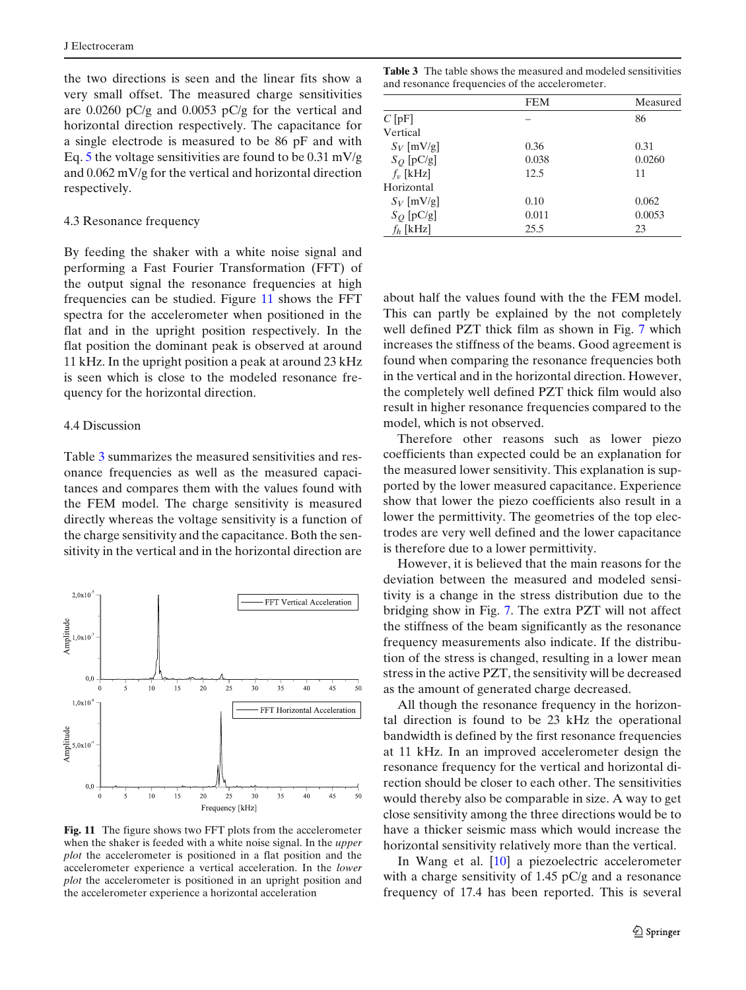the two directions is seen and the linear fits show a very small offset. The measured charge sensitivities are 0.0260 pC/g and 0.0053 pC/g for the vertical and horizontal direction respectively. The capacitance for a single electrode is measured to be 86 pF and with Eq. [5](#page-3-0) the voltage sensitivities are found to be  $0.31 \text{ mV/g}$ and 0.062 mV/g for the vertical and horizontal direction respectively.

## 4.3 Resonance frequency

By feeding the shaker with a white noise signal and performing a Fast Fourier Transformation (FFT) of the output signal the resonance frequencies at high frequencies can be studied. Figure 11 shows the FFT spectra for the accelerometer when positioned in the flat and in the upright position respectively. In the flat position the dominant peak is observed at around 11 kHz. In the upright position a peak at around 23 kHz is seen which is close to the modeled resonance frequency for the horizontal direction.

#### 4.4 Discussion

Table 3 summarizes the measured sensitivities and resonance frequencies as well as the measured capacitances and compares them with the values found with the FEM model. The charge sensitivity is measured directly whereas the voltage sensitivity is a function of the charge sensitivity and the capacitance. Both the sensitivity in the vertical and in the horizontal direction are



**Fig. 11** The figure shows two FFT plots from the accelerometer when the shaker is feeded with a white noise signal. In the *upper plot* the accelerometer is positioned in a flat position and the accelerometer experience a vertical acceleration. In the *lower plot* the accelerometer is positioned in an upright position and the accelerometer experience a horizontal acceleration

**Table 3** The table shows the measured and modeled sensitivities and resonance frequencies of the accelerometer.

|              | <b>FEM</b> | Measured |
|--------------|------------|----------|
| $C$ [pF]     |            | 86       |
| Vertical     |            |          |
| $S_V$ [mV/g] | 0.36       | 0.31     |
| $S_O$ [pC/g] | 0.038      | 0.0260   |
| $f_v$ [kHz]  | 12.5       | 11       |
| Horizontal   |            |          |
| $S_V$ [mV/g] | 0.10       | 0.062    |
| $S_Q$ [pC/g] | 0.011      | 0.0053   |
| $f_h$ [kHz]  | 25.5       | 23       |

about half the values found with the the FEM model. This can partly be explained by the not completely well defined PZT thick film as shown in Fig. [7](#page-4-0) which increases the stiffness of the beams. Good agreement is found when comparing the resonance frequencies both in the vertical and in the horizontal direction. However, the completely well defined PZT thick film would also result in higher resonance frequencies compared to the model, which is not observed.

Therefore other reasons such as lower piezo coefficients than expected could be an explanation for the measured lower sensitivity. This explanation is supported by the lower measured capacitance. Experience show that lower the piezo coefficients also result in a lower the permittivity. The geometries of the top electrodes are very well defined and the lower capacitance is therefore due to a lower permittivity.

However, it is believed that the main reasons for the deviation between the measured and modeled sensitivity is a change in the stress distribution due to the bridging show in Fig. [7.](#page-4-0) The extra PZT will not affect the stiffness of the beam significantly as the resonance frequency measurements also indicate. If the distribution of the stress is changed, resulting in a lower mean stress in the active PZT, the sensitivity will be decreased as the amount of generated charge decreased.

All though the resonance frequency in the horizontal direction is found to be 23 kHz the operational bandwidth is defined by the first resonance frequencies at 11 kHz. In an improved accelerometer design the resonance frequency for the vertical and horizontal direction should be closer to each other. The sensitivities would thereby also be comparable in size. A way to get close sensitivity among the three directions would be to have a thicker seismic mass which would increase the horizontal sensitivity relatively more than the vertical.

In Wang et al. [\[10](#page-7-0)] a piezoelectric accelerometer with a charge sensitivity of 1.45 pC/g and a resonance frequency of 17.4 has been reported. This is several